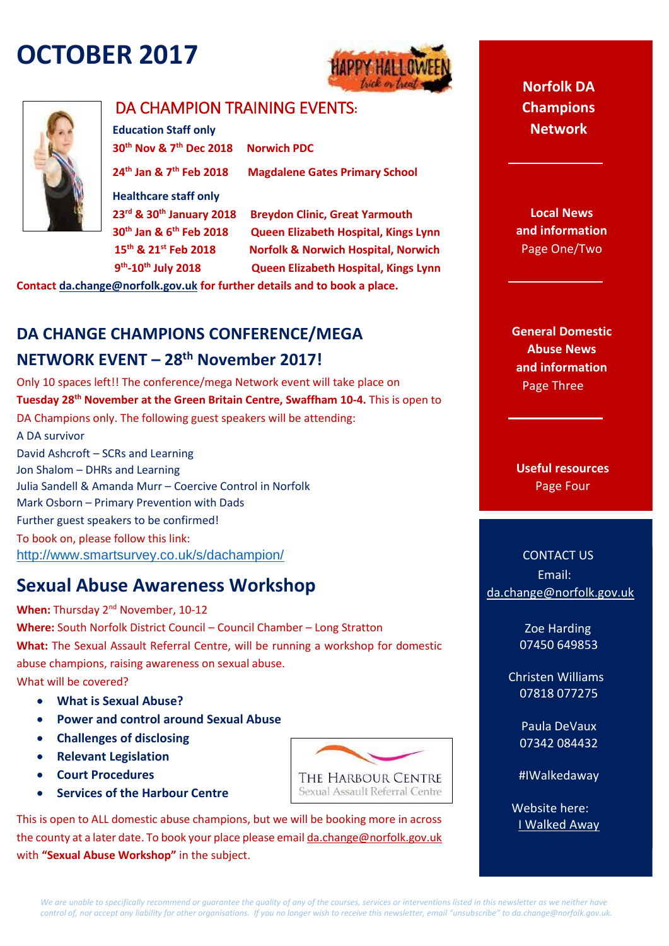# **OCTOBER 2017**





### DA CHAMPION TRAINING EVENTS**:**

**Education Staff only 30th Nov & 7th Dec 2018 Norwich PDC 24th Jan & 7th Feb 2018 Magdalene Gates Primary School Healthcare staff only 23rd & 30th January 2018 Breydon Clinic, Great Yarmouth 30th Jan & 6th Feb 2018 Queen Elizabeth Hospital, Kings Lynn 15th & 21st Feb 2018 Norfolk & Norwich Hospital, Norwich 9** 9<sup>th</sup>-10<sup>th</sup> July 2018 **-10th July 2018 Queen Elizabeth Hospital, Kings Lynn**

**Contac[t da.change@norfolk.gov.uk](mailto:da.change@norfolk.gov.uk) for further details and to book a place.**

# **DA CHANGE CHAMPIONS CONFERENCE/MEGA NETWORK EVENT – 28th November 2017!**

Only 10 spaces left!! The conference/mega Network event will take place on **Tuesday 28th November at the Green Britain Centre, Swaffham 10-4.** This is open to DA Champions only. The following guest speakers will be attending: A DA survivor David Ashcroft – SCRs and Learning Jon Shalom – DHRs and Learning Julia Sandell & Amanda Murr – Coercive Control in Norfolk Mark Osborn – Primary Prevention with Dads Further guest speakers to be confirmed! To book on, please follow this link: <http://www.smartsurvey.co.uk/s/dachampion/>

## **Sexual Abuse Awareness Workshop**

When: Thursday 2<sup>nd</sup> November, 10-12 **Where:** South Norfolk District Council – Council Chamber – Long Stratton **What:** The Sexual Assault Referral Centre, will be running a workshop for domestic abuse champions, raising awareness on sexual abuse. What will be covered?

- **What is Sexual Abuse?**
- **Power and control around Sexual Abuse**
- **Challenges of disclosing**
- **Relevant Legislation**
- **Court Procedures**
- **Services of the Harbour Centre**

THE HARBOUR CENTRE Sexual Assault Referral Centre

This is open to ALL domestic abuse champions, but we will be booking more in across the county at a later date. To book your place please emai[l da.change@norfolk.gov.uk](mailto:da.change@norfolk.gov.uk)  with **"Sexual Abuse Workshop"** in the subject.

**Norfolk DA Champions Network**

**Local News and information**  Page One/Two

**General Domestic Abuse News and information** Page Three

**Useful resources**  Page Four

CONTACT US Email: [da.change@norfolk.gov.uk](mailto:da.change@norfolk.gov.uk)

> Zoe Harding 07450 649853

 Christen Williams 07818 077275

> Paula DeVaux 07342 084432

#IWalkedaway

Website here: [I Walked Away](https://www.norfolk.gov.uk/safety/domestic-abuse)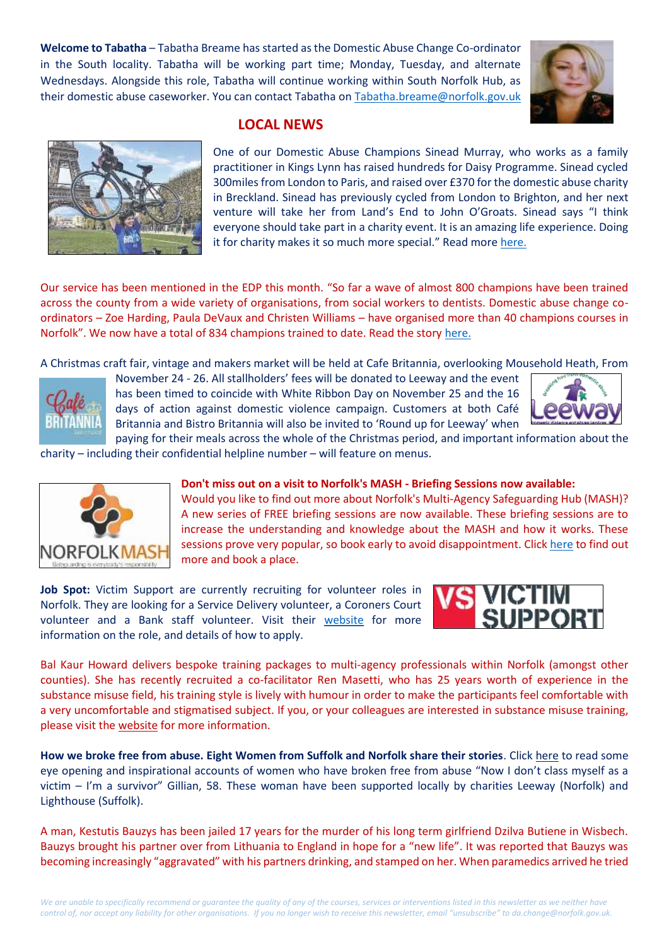**Welcome to Tabatha** – Tabatha Breame has started as the Domestic Abuse Change Co-ordinator in the South locality. Tabatha will be working part time; Monday, Tuesday, and alternate Wednesdays. Alongside this role, Tabatha will continue working within South Norfolk Hub, as their domestic abuse caseworker. You can contact Tabatha o[n Tabatha.breame@norfolk.gov.uk](mailto:Tabatha.breame@norfolk.gov.uk)





#### **LOCAL NEWS**

One of our Domestic Abuse Champions Sinead Murray, who works as a family practitioner in Kings Lynn has raised hundreds for Daisy Programme. Sinead cycled 300miles from London to Paris, and raised over £370 for the domestic abuse charity in Breckland. Sinead has previously cycled from London to Brighton, and her next venture will take her from Land's End to John O'Groats. Sinead says "I think everyone should take part in a charity event. It is an amazing life experience. Doing it for charity makes it so much more special." Read more [here.](http://www.yourlocalpaper.co.uk/2017/09/29/hundreds-raised-for-abuse-charity/)

Our service has been mentioned in the EDP this month. "So far a wave of almost 800 champions have been trained across the county from a wide variety of organisations, from social workers to dentists. Domestic abuse change coordinators – Zoe Harding, Paula DeVaux and Christen Williams – have organised more than 40 champions courses in Norfolk". We now have a total of 834 champions trained to date. Read the story [here.](http://www.edp24.co.uk/news/health/more-than-800-people-trained-in-norfolk-to-help-victims-of-domestic-abuse-1-5226925)

A Christmas craft fair, vintage and makers market will be held at Cafe Britannia, overlooking Mousehold Heath, From



November 24 - 26. All stallholders' fees will be donated to Leeway and the event has been timed to coincide with White Ribbon Day on November 25 and the 16 days of action against domestic violence campaign. Customers at both Café Britannia and Bistro Britannia will also be invited to 'Round up for Leeway' when



paying for their meals across the whole of the Christmas period, and important information about the charity – including their confidential helpline number – will feature on menus.



#### **Don't miss out on a visit to Norfolk's MASH - Briefing Sessions now available:**

Would you like to find out more about Norfolk's Multi-Agency Safeguarding Hub (MASH)? A new series of FREE briefing sessions are now available. These briefing sessions are to increase the understanding and knowledge about the MASH and how it works. These sessions prove very popular, so book early to avoid disappointment. Clic[k here](https://www.norfolklscb.org/nscb-booking/nscb-booking-training/) to find out more and book a place.

**Job Spot:** Victim Support are currently recruiting for volunteer roles in Norfolk. They are looking for a Service Delivery volunteer, a Coroners Court volunteer and a Bank staff volunteer. Visit their [website](https://recruitment.victimsupport.org.uk/vacancies.html#filter=p_web_site_id%3D5695%26p_published_to%3DWWW%26p_language%3DDEFAULT%26p_direct%3DY%26p_format%3DMOBILE%26p_include_exclude_from_list%3DN%26p_category_code_arr%3D15326-608067%26p_search%3D) for more information on the role, and details of how to apply.



Bal Kaur Howard delivers bespoke training packages to multi-agency professionals within Norfolk (amongst other counties). She has recently recruited a co-facilitator Ren Masetti, who has 25 years worth of experience in the substance misuse field, his training style is lively with humour in order to make the participants feel comfortable with a very uncomfortable and stigmatised subject. If you, or your colleagues are interested in substance misuse training, please visit the [website](http://www.bkhtraining.co.uk/default.html) for more information.

**How we broke free from abuse. Eight Women from Suffolk and Norfolk share their stories**. Clic[k here](http://www.edp24.co.uk/news/domestic-abuse) to read some eye opening and inspirational accounts of women who have broken free from abuse "Now I don't class myself as a victim – I'm a survivor" Gillian, 58. These woman have been supported locally by charities Leeway (Norfolk) and Lighthouse (Suffolk).

A man, Kestutis Bauzys has been jailed 17 years for the murder of his long term girlfriend Dzilva Butiene in Wisbech. Bauzys brought his partner over from Lithuania to England in hope for a "new life". It was reported that Bauzys was becoming increasingly "aggravated" with his partners drinking, and stamped on her. When paramedics arrived he tried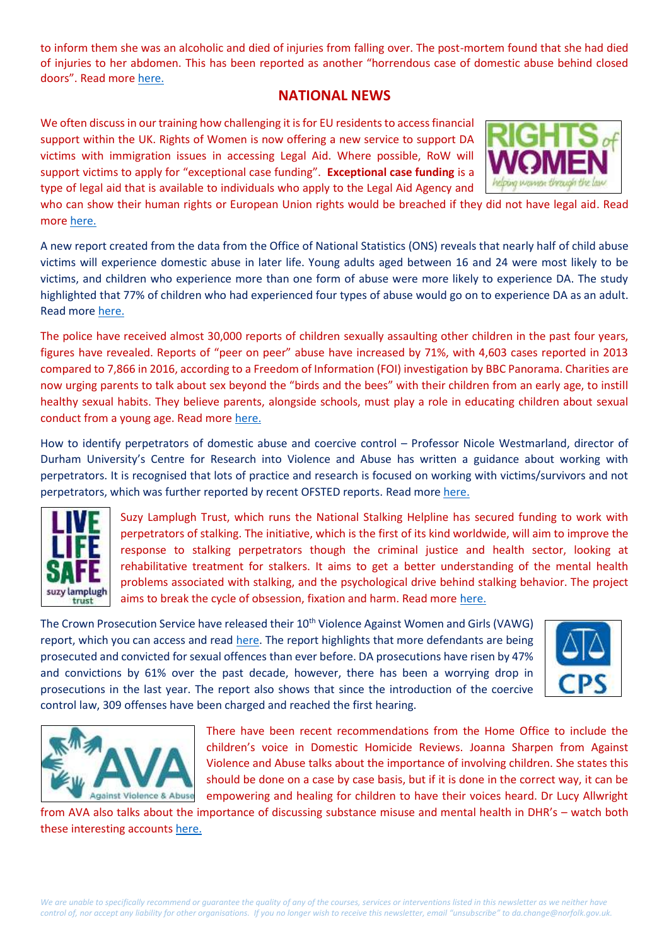to inform them she was an alcoholic and died of injuries from falling over. The post-mortem found that she had died of injuries to her abdomen. This has been reported as another "horrendous case of domestic abuse behind closed doors". Read more [here.](http://www.bbc.co.uk/news/uk-england-cambridgeshire-41667630)

#### **NATIONAL NEWS**

We often discuss in our training how challenging it is for EU residents to access financial support within the UK. Rights of Women is now offering a new service to support DA victims with immigration issues in accessing Legal Aid. Where possible, RoW will support victims to apply for "exceptional case funding". **Exceptional case funding** is a type of legal aid that is available to individuals who apply to the Legal Aid Agency and



who can show their human rights or European Union rights would be breached if they did not have legal aid. Read more [here.](https://www.womensaid.org.uk/rights-women-new-exceptional-case-service-women/)

A new report created from the data from the Office of National Statistics (ONS) reveals that nearly half of child abuse victims will experience domestic abuse in later life. Young adults aged between 16 and 24 were most likely to be victims, and children who experience more than one form of abuse were more likely to experience DA. The study highlighted that 77% of children who had experienced four types of abuse would go on to experience DA as an adult. Read more [here.](http://www.independent.co.uk/news/uk/home-news/adults-child-abuse-domestic-later-life-children-statistics-welfare-uk-office-national-statistics-ons-a7969506.html)

The police have received almost 30,000 reports of children sexually assaulting other children in the past four years, figures have revealed. Reports of "peer on peer" abuse have increased by 71%, with 4,603 cases reported in 2013 compared to 7,866 in 2016, according to a Freedom of Information (FOI) investigation by BBC Panorama. Charities are now urging parents to talk about sex beyond the "birds and the bees" with their children from an early age, to instill healthy sexual habits. They believe parents, alongside schools, must play a role in educating children about sexual conduct from a young age. Read more [here.](http://www.huffingtonpost.co.uk/entry/sexual-misconduct-children-prevention_uk_59ba8da1e4b0edff9719c5af)

How to identify perpetrators of domestic abuse and coercive control – Professor Nicole Westmarland, director of Durham University's Centre for Research into Violence and Abuse has written a guidance about working with perpetrators. It is recognised that lots of practice and research is focused on working with victims/survivors and not perpetrators, which was further reported by recent OFSTED reports. Read mor[e here.](http://www.communitycare.co.uk/2017/10/02/identify-perpetrators-domestic-abuse-coercive-control/?cmpid=NLC|SCSC|SCDDB-2017-1002)



Suzy Lamplugh Trust, which runs the National Stalking Helpline has secured funding to work with perpetrators of stalking. The initiative, which is the first of its kind worldwide, will aim to improve the response to stalking perpetrators though the criminal justice and health sector, looking at rehabilitative treatment for stalkers. It aims to get a better understanding of the mental health problems associated with stalking, and the psychological drive behind stalking behavior. The project aims to break the cycle of obsession, fixation and harm. Read more [here.](https://www.suzylamplugh.org/news/suzy-lamplugh-trust-receives-funding-to-develop-and-test-new-interventions-with-stalking-perpetrators?dm_i=22ZX,56IW2,PR7J8P,JWYKS,1)

The Crown Prosecution Service have released their 10<sup>th</sup> Violence Against Women and Girls (VAWG) report, which you can access and read [here.](http://www.cps.gov.uk/news/latest_news/cps-report-shows-more-offenders-are/) The report highlights that more defendants are being prosecuted and convicted for sexual offences than ever before. DA prosecutions have risen by 47% and convictions by 61% over the past decade, however, there has been a worrying drop in prosecutions in the last year. The report also shows that since the introduction of the coercive control law, 309 offenses have been charged and reached the first hearing.





There have been recent recommendations from the Home Office to include the children's voice in Domestic Homicide Reviews. Joanna Sharpen from Against Violence and Abuse talks about the importance of involving children. She states this should be done on a case by case basis, but if it is done in the correct way, it can be empowering and healing for children to have their voices heard. Dr Lucy Allwright

from AVA also talks about the importance of discussing substance misuse and mental health in DHR's – watch both these interesting accounts [here.](https://avaproject.org.uk/resources/)